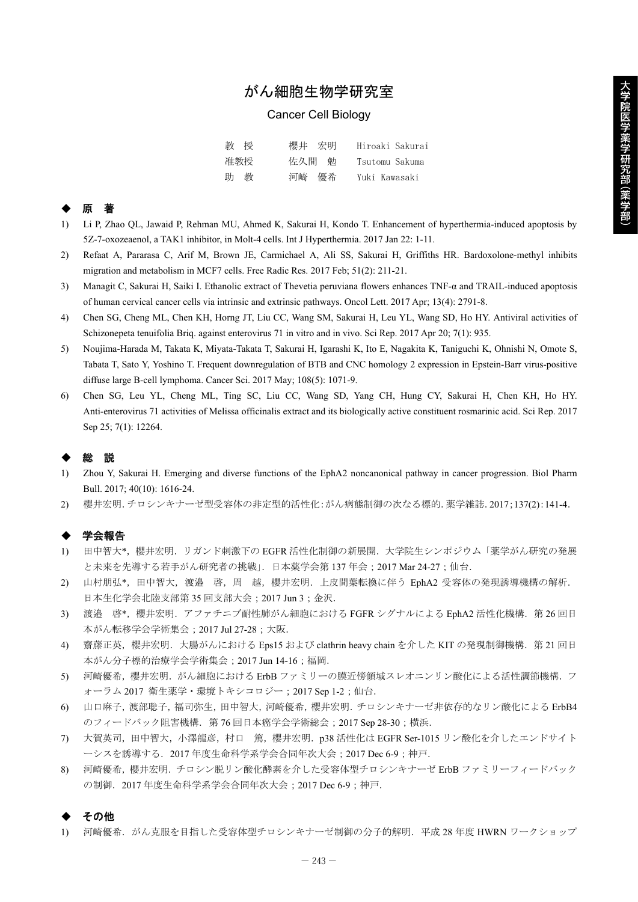# がん細胞生物学研究室

## Cancer Cell Biology

| 教授  | 櫻井宗明  | Hiroaki Sakurai |
|-----|-------|-----------------|
| 准教授 | 佐久間 勉 | Tsutomu Sakuma  |
| 助 教 | 河崎 優希 | Yuki Kawasaki   |

### ◆ 原 著

- 1) Li P, Zhao QL, Jawaid P, Rehman MU, Ahmed K, Sakurai H, Kondo T. Enhancement of hyperthermia-induced apoptosis by 5Z-7-oxozeaenol, a TAK1 inhibitor, in Molt-4 cells. Int J Hyperthermia. 2017 Jan 22: 1-11.
- 2) Refaat A, Pararasa C, Arif M, Brown JE, Carmichael A, Ali SS, Sakurai H, Griffiths HR. Bardoxolone-methyl inhibits migration and metabolism in MCF7 cells. Free Radic Res. 2017 Feb; 51(2): 211-21.
- 3) Managit C, Sakurai H, Saiki I. Ethanolic extract of Thevetia peruviana flowers enhances TNF-α and TRAIL-induced apoptosis of human cervical cancer cells via intrinsic and extrinsic pathways. Oncol Lett. 2017 Apr; 13(4): 2791-8.
- 4) Chen SG, Cheng ML, Chen KH, Horng JT, Liu CC, Wang SM, Sakurai H, Leu YL, Wang SD, Ho HY. Antiviral activities of Schizonepeta tenuifolia Briq. against enterovirus 71 in vitro and in vivo. Sci Rep. 2017 Apr 20; 7(1): 935.
- 5) Noujima-Harada M, Takata K, Miyata-Takata T, Sakurai H, Igarashi K, Ito E, Nagakita K, Taniguchi K, Ohnishi N, Omote S, Tabata T, Sato Y, Yoshino T. Frequent downregulation of BTB and CNC homology 2 expression in Epstein-Barr virus-positive diffuse large B-cell lymphoma. Cancer Sci. 2017 May; 108(5): 1071-9.
- 6) Chen SG, Leu YL, Cheng ML, Ting SC, Liu CC, Wang SD, Yang CH, Hung CY, Sakurai H, Chen KH, Ho HY. Anti-enterovirus 71 activities of Melissa officinalis extract and its biologically active constituent rosmarinic acid. Sci Rep. 2017 Sep 25; 7(1): 12264.

# ◆ 総 説

- 1) Zhou Y, Sakurai H. Emerging and diverse functions of the EphA2 noncanonical pathway in cancer progression. Biol Pharm Bull. 2017; 40(10): 1616-24.
- 2) 櫻井宏明.チロシンキナーゼ型受容体の非定型的活性化:がん病態制御の次なる標的.薬学雑誌.2017;137(2):141-4.

#### ◆ 学会報告

- 1) 田中智大\*,櫻井宏明. リガンド刺激下の EGFR 活性化制御の新展開. 大学院生シンポジウム「薬学がん研究の発展 と未来を先導する若手がん研究者の挑戦」. 日本薬学会第137年会;2017 Mar 24-27;仙台.
- 2) 山村朋弘\*,田中智大,渡邉 啓,周 越,櫻井宏明.上皮間葉転換に伴う EphA2 受容体の発現誘導機構の解析. 日本生化学会北陸支部第 35 回支部大会;2017 Jun 3;金沢.
- 3) 渡邉 啓\*,櫻井宏明. アファチニブ耐性肺がん細胞における FGFR シグナルによる EphA2 活性化機構. 第26回日 本がん転移学会学術集会;2017 Jul 27-28;大阪.
- 4) 齋藤正英,櫻井宏明. 大腸がんにおける Eps15 および clathrin heavy chain を介した KIT の発現制御機構. 第21回日 本がん分子標的治療学会学術集会;2017 Jun 14-16;福岡.
- 5) 河崎優希,櫻井宏明. がん細胞における ErbB ファミリーの膜近傍領域スレオニンリン酸化による活性調節機構. フ ォーラム 2017 衛生薬学・環境トキシコロジー;2017 Sep 1-2;仙台.
- 6) 山口麻子,渡部聡子,福司弥生,田中智大,河崎優希,櫻井宏明.チロシンキナーゼ非依存的なリン酸化による ErbB4 のフィードバック阻害機構. 第 76 回日本癌学会学術総会; 2017 Sep 28-30;横浜.
- 7) 大賀英司,田中智大,小澤龍彦,村口 篤,櫻井宏明.p38 活性化は EGFR Ser-1015 リン酸化を介したエンドサイト ーシスを誘導する. 2017 年度生命科学系学会合同年次大会;2017 Dec 6-9;神戸.
- 8) 河崎優希,櫻井宏明.チロシン脱リン酸化酵素を介した受容体型チロシンキナーゼ ErbB ファミリーフィードバック の制御.2017 年度生命科学系学会合同年次大会;2017 Dec 6-9;神戸.

#### その他

1) 河崎優希.がん克服を目指した受容体型チロシンキナーゼ制御の分子的解明.平成 28 年度 HWRN ワークショップ